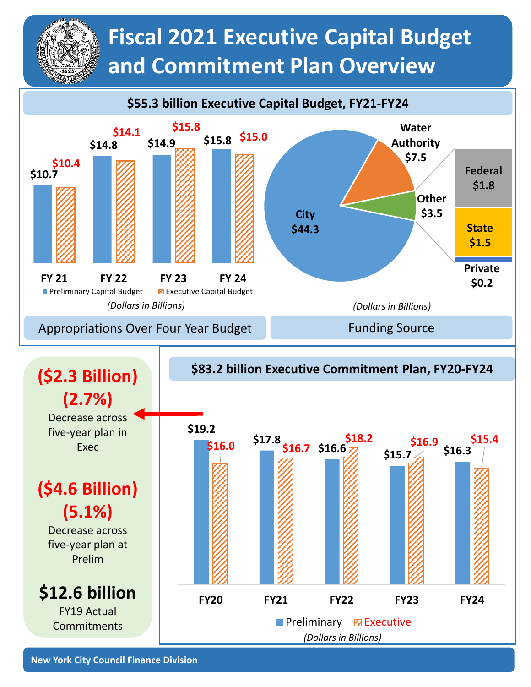## **Fiscal 2021 Executive Capital Budget and Commitment Plan Overview**



*(Dollars in Billions)*

**New York City Council Finance Division**